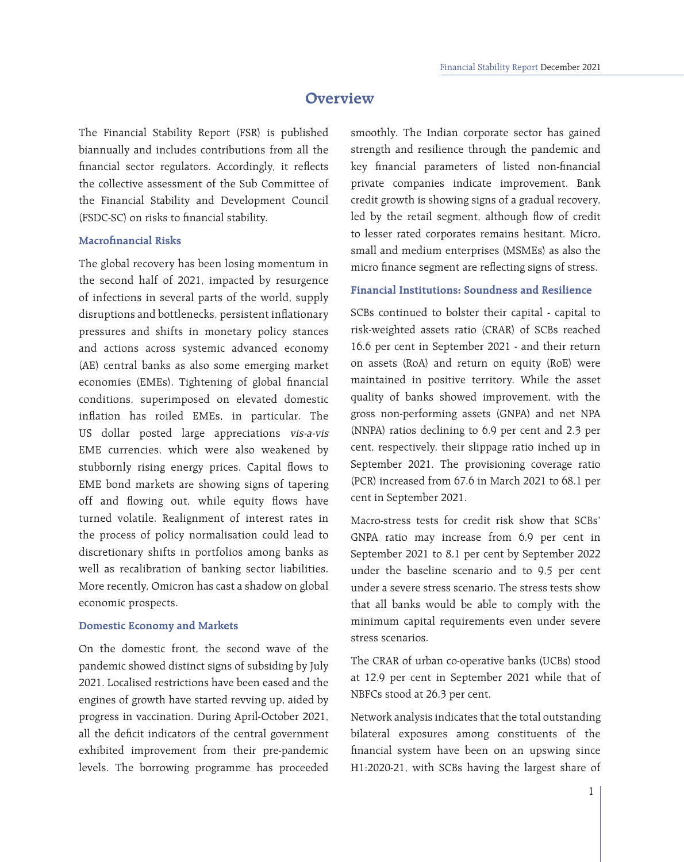# **Overview**

The Financial Stability Report (FSR) is published biannually and includes contributions from all the financial sector regulators. Accordingly, it reflects the collective assessment of the Sub Committee of the Financial Stability and Development Council (FSDC-SC) on risks to financial stability.

### **Macrofinancial Risks**

The global recovery has been losing momentum in the second half of 2021, impacted by resurgence of infections in several parts of the world, supply disruptions and bottlenecks, persistent inflationary pressures and shifts in monetary policy stances and actions across systemic advanced economy (AE) central banks as also some emerging market economies (EMEs). Tightening of global financial conditions, superimposed on elevated domestic inflation has roiled EMEs, in particular. The US dollar posted large appreciations vis-a-vis EME currencies, which were also weakened by stubbornly rising energy prices. Capital flows to EME bond markets are showing signs of tapering off and flowing out, while equity flows have turned volatile. Realignment of interest rates in the process of policy normalisation could lead to discretionary shifts in portfolios among banks as well as recalibration of banking sector liabilities. More recently, Omicron has cast a shadow on global economic prospects.

#### **Domestic Economy and Markets**

On the domestic front, the second wave of the pandemic showed distinct signs of subsiding by July 2021. Localised restrictions have been eased and the engines of growth have started revving up, aided by progress in vaccination. During April-October 2021, all the deficit indicators of the central government exhibited improvement from their pre-pandemic levels. The borrowing programme has proceeded

smoothly. The Indian corporate sector has gained strength and resilience through the pandemic and key financial parameters of listed non-financial private companies indicate improvement. Bank credit growth is showing signs of a gradual recovery, led by the retail segment, although flow of credit to lesser rated corporates remains hesitant. Micro, small and medium enterprises (MSMEs) as also the micro finance segment are reflecting signs of stress.

## **Financial Institutions: Soundness and Resilience**

SCBs continued to bolster their capital - capital to risk-weighted assets ratio (CRAR) of SCBs reached 16.6 per cent in September 2021 - and their return on assets (RoA) and return on equity (RoE) were maintained in positive territory. While the asset quality of banks showed improvement, with the gross non-performing assets (GNPA) and net NPA (NNPA) ratios declining to 6.9 per cent and 2.3 per cent, respectively, their slippage ratio inched up in September 2021. The provisioning coverage ratio (PCR) increased from 67.6 in March 2021 to 68.1 per cent in September 2021.

Macro-stress tests for credit risk show that SCBs' GNPA ratio may increase from 6.9 per cent in September 2021 to 8.1 per cent by September 2022 under the baseline scenario and to 9.5 per cent under a severe stress scenario. The stress tests show that all banks would be able to comply with the minimum capital requirements even under severe stress scenarios.

The CRAR of urban co-operative banks (UCBs) stood at 12.9 per cent in September 2021 while that of NBFCs stood at 26.3 per cent.

Network analysis indicates that the total outstanding bilateral exposures among constituents of the financial system have been on an upswing since H1:2020-21, with SCBs having the largest share of